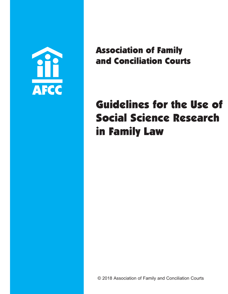

Association of Family and Conciliation Courts

# Guidelines for the Use of Social Science Research in Family Law

© 2018 Association of Family and Conciliation Courts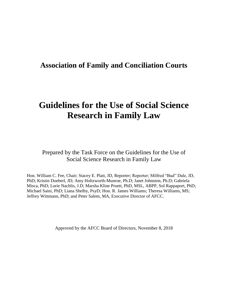# **Association of Family and Conciliation Courts**

# **Guidelines for the Use of Social Science Research in Family Law**

Prepared by the Task Force on the Guidelines for the Use of Social Science Research in Family Law

Hon. William C. Fee, Chair; Stacey E. Platt, JD, Reporter; Reporter; Milfred "Bud" Dale, JD, PhD; Kristin Doeberl, JD; Amy Holtzworth-Munroe, Ph.D; Janet Johnston, Ph.D; Gabriela Misca, PhD; Lorie Nachlis, J.D; Marsha Kline Pruett, PhD, MSL, ABPP, Sol Rappaport, PhD; Michael Saini, PhD; Liana Shelby, PsyD; Hon. R. James Williams; Theresa Williams, MS; Jeffrey Wittmann, PhD; and Peter Salem, MA, Executive Director of AFCC.

Approved by the AFCC Board of Directors, November 8, 2018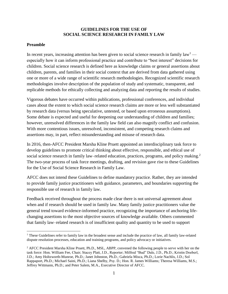#### **GUIDELINES FOR THE USE OF SOCIAL SCIENCE RESEARCH IN FAMILY LAW**

#### **Preamble**

 $\overline{a}$ 

In recent years, increasing attention has been given to social science research in family  $\text{law}^1$  especially how it can inform professional practice and contribute to "best interest" decisions for children. Social science research is defined here as knowledge claims or general assertions about children, parents, and families in their social context that are derived from data gathered using one or more of a wide range of scientific research methodologies. Recognized scientific research methodologies involve description of the population of study and systematic, transparent, and replicable methods for ethically collecting and analyzing data and reporting the results of studies.

Vigorous debates have occurred within publications, professional conferences, and individual cases about the extent to which social science research claims are more or less well substantiated by research data (versus being speculative, untested, or based upon erroneous assumptions). Some debate is expected and useful for deepening our understanding of children and families; however, unresolved differences in the family law field can also magnify conflict and confusion. With more contentious issues, unresolved, inconsistent, and competing research claims and assertions may, in part, reflect misunderstanding and misuse of research data.

In 2016, then-AFCC President Marsha Kline Pruett appointed an interdisciplinary task force to develop guidelines to promote critical thinking about effective, responsible, and ethical use of social science research in family law–related education, practices, programs, and policy making.<sup>2</sup> The two-year process of task force meetings, drafting, and revision gave rise to these Guidelines for the Use of Social Science Research in Family Law.

AFCC does not intend these Guidelines to define mandatory practice. Rather, they are intended to provide family justice practitioners with guidance, parameters, and boundaries supporting the responsible use of research in family law.

Feedback received throughout the process made clear there is not universal agreement about when and if research should be used in family law. Many family justice practitioners value the general trend toward evidence-informed practice, recognizing the importance of anchoring lifechanging assertions to the most objective sources of knowledge available. Others commented that family law–related research is of insufficient quality and quantity to be used to support

<sup>&</sup>lt;sup>1</sup> These Guidelines refer to family law in the broadest sense and include the practice of law, all family law-related dispute resolution processes, education and training programs, and policy advocacy or initiatives.

<sup>&</sup>lt;sup>2</sup> AFCC President Marsha Kline Pruett, Ph.D., MSL, ABPP, convened the following people to serve with her on the task force: Hon. William Fee, Chair; Stacey Platt, J.D., Reporter; Milfred "Bud" Dale, J.D., Ph.D.; Kristin Doeberl, J.D.; Amy Holtzworth-Munroe, Ph.D.; Janet Johnston, Ph.D.; Gabriela Misca, Ph.D.; Lorie Nachlis, J.D.; Sol Rappaport, Ph.D.; Michael Saini, Ph.D.; Liana Shelby, Psy. D.; Hon. R. James Williams; Theresa Williams, M.S.; Jeffrey Wittmann, Ph.D.; and Peter Salem, M.A., Executive Director of AFCC.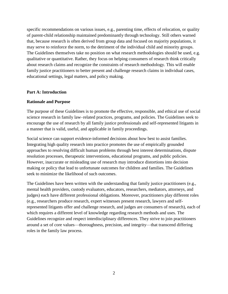specific recommendations on various issues, e.g., parenting time, effects of relocation, or quality of parent-child relationship maintained predominantly through technology. Still others warned that, because research is often derived from group data and focused on majority populations, it may serve to reinforce the norm, to the detriment of the individual child and minority groups. The Guidelines themselves take no position on what research methodologies should be used, e.g. qualitative or quantitative. Rather, they focus on helping consumers of research think critically about research claims and recognize the constraints of research methodology. This will enable family justice practitioners to better present and challenge research claims in individual cases, educational settings, legal matters, and policy making.

#### **Part A: Introduction**

#### **Rationale and Purpose**

The purpose of these Guidelines is to promote the effective, responsible, and ethical use of social science research in family law–related practices, programs, and policies. The Guidelines seek to encourage the use of research by all family justice professionals and self-represented litigants in a manner that is valid, useful, and applicable in family proceedings.

Social science can support evidence-informed decisions about how best to assist families. Integrating high quality research into practice promotes the use of empirically grounded approaches to resolving difficult human problems through best interest determinations, dispute resolution processes, therapeutic interventions, educational programs, and public policies. However, inaccurate or misleading use of research may introduce distortions into decision making or policy that lead to unfortunate outcomes for children and families. The Guidelines seek to minimize the likelihood of such outcomes.

The Guidelines have been written with the understanding that family justice practitioners (e.g., mental health providers, custody evaluators, educators, researchers, mediators, attorneys, and judges) each have different professional obligations. Moreover, practitioners play different roles (e.g., researchers produce research, expert witnesses present research, lawyers and selfrepresented litigants offer and challenge research, and judges are consumers of research), each of which requires a different level of knowledge regarding research methods and uses. The Guidelines recognize and respect interdisciplinary differences. They strive to join practitioners around a set of core values—thoroughness, precision, and integrity—that transcend differing roles in the family law process.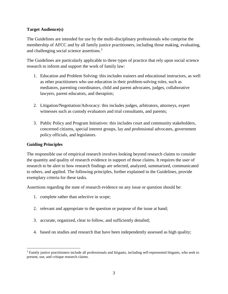#### **Target Audience(s)**

The Guidelines are intended for use by the multi-disciplinary professionals who comprise the membership of AFCC and by all family justice practitioners, including those making, evaluating, and challenging social science assertions.<sup>3</sup>

The Guidelines are particularly applicable to three types of practice that rely upon social science research to inform and support the work of family law:

- 1. Education and Problem Solving: this includes trainers and educational instructors, as well as other practitioners who use education in their problem-solving roles, such as mediators, parenting coordinators, child and parent advocates, judges, collaborative lawyers, parent educators, and therapists;
- 2. Litigation/Negotiation/Advocacy: this includes judges, arbitrators, attorneys, expert witnesses such as custody evaluators and trial consultants, and parents;
- 3. Public Policy and Program Initiatives: this includes court and community stakeholders, concerned citizens, special interest groups, lay and professional advocates, government policy officials, and legislators.

#### **Guiding Principles**

The responsible use of empirical research involves looking beyond research claims to consider the quantity and quality of research evidence in support of those claims. It requires the user of research to be alert to how research findings are selected, analyzed, summarized, communicated to others, and applied. The following principles, further explained in the Guidelines, provide exemplary criteria for these tasks.

Assertions regarding the state of research evidence on any issue or question should be:

- 1. complete rather than selective in scope;
- 2. relevant and appropriate to the question or purpose of the issue at hand;
- 3. accurate, organized, clear to follow, and sufficiently detailed;
- 4. based on studies and research that have been independently assessed as high quality;

 $\overline{a}$ <sup>3</sup> Family justice practitioners include all professionals and litigants, including self-represented litigants, who seek to present, use, and critique research claims.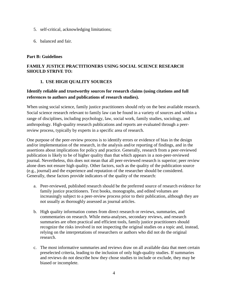- 5. self-critical, acknowledging limitations;
- 6. balanced and fair.

#### **Part B: Guidelines**

#### **FAMILY JUSTICE PRACTITIONERS USING SOCIAL SCIENCE RESEARCH SHOULD STRIVE TO:**

#### **1. USE HIGH QUALITY SOURCES**

#### **Identify reliable and trustworthy sources for research claims (using citations and full references to authors and publications of research studies).**

When using social science, family justice practitioners should rely on the best available research. Social science research relevant to family law can be found in a variety of sources and within a range of disciplines, including psychology, law, social work, family studies, sociology, and anthropology. High-quality research publications and reports are evaluated through a peerreview process, typically by experts in a specific area of research.

One purpose of the peer-review process is to identify errors or evidence of bias in the design and/or implementation of the research, in the analysis and/or reporting of findings, and in the assertions about implications for policy and practice. Generally, research from a peer-reviewed publication is likely to be of higher quality than that which appears in a non-peer-reviewed journal. Nevertheless, this does not mean that all peer-reviewed research is superior; peer review alone does not ensure high quality. Other factors, such as the quality of the publication source (e.g., journal) and the experience and reputation of the researcher should be considered. Generally, these factors provide indicators of the quality of the research:

- a. Peer-reviewed, published research should be the preferred source of research evidence for family justice practitioners. Text books, monographs, and edited volumes are increasingly subject to a peer-review process prior to their publication, although they are not usually as thoroughly assessed as journal articles.
- b. High quality information comes from direct research or reviews, summaries, and commentaries on research. While meta-analyses, secondary reviews, and research summaries are often practical and efficient tools, family justice practitioners should recognize the risks involved in not inspecting the original studies on a topic and, instead, relying on the interpretations of researchers or authors who did not do the original research.
- c. The most informative summaries and reviews draw on all available data that meet certain preselected criteria, leading to the inclusion of only high-quality studies. If summaries and reviews do not describe how they chose studies to include or exclude, they may be biased or incomplete.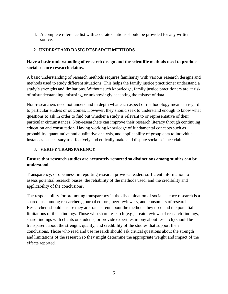d. A complete reference list with accurate citations should be provided for any written source.

# **2. UNDERSTAND BASIC RESEARCH METHODS**

# **Have a basic understanding of research design and the scientific methods used to produce social science research claims.**

A basic understanding of research methods requires familiarity with various research designs and methods used to study different situations. This helps the family justice practitioner understand a study's strengths and limitations. Without such knowledge, family justice practitioners are at risk of misunderstanding, misusing, or unknowingly accepting the misuse of data.

Non-researchers need not understand in depth what each aspect of methodology means in regard to particular studies or outcomes. However, they should seek to understand enough to know what questions to ask in order to find out whether a study is relevant to or representative of their particular circumstances. Non-researchers can improve their research literacy through continuing education and consultation. Having working knowledge of fundamental concepts such as probability, quantitative and qualitative analysis, and applicability of group data to individual instances is necessary to effectively and ethically make and dispute social science claims.

## **3. VERIFY TRANSPARENCY**

# **Ensure that research studies are accurately reported so distinctions among studies can be understood.**

Transparency, or openness, in reporting research provides readers sufficient information to assess potential research biases, the reliability of the methods used, and the credibility and applicability of the conclusions.

The responsibility for promoting transparency in the dissemination of social science research is a shared task among researchers, journal editors, peer reviewers, and consumers of research. Researchers should ensure they are transparent about the methods they used and the potential limitations of their findings. Those who share research (e.g., create reviews of research findings, share findings with clients or students, or provide expert testimony about research) should be transparent about the strength, quality, and credibility of the studies that support their conclusions. Those who read and use research should ask critical questions about the strength and limitations of the research so they might determine the appropriate weight and impact of the effects reported.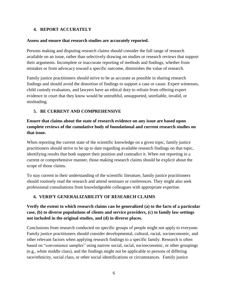#### **4. REPORT ACCURATELY**

#### **Assess and ensure that research studies are accurately reported.**

Persons making and disputing research claims should consider the full range of research available on an issue, rather than selectively drawing on studies or research reviews that support their arguments. Incomplete or inaccurate reporting of methods and findings, whether from mistakes or from advocacy toward a specific outcome, diminishes the value of research.

Family justice practitioners should strive to be as accurate as possible in sharing research findings and should avoid the distortion of findings to support a case or cause. Expert witnesses, child custody evaluators, and lawyers have an ethical duty to refrain from offering expert evidence in court that they know would be untruthful, unsupported, unreliable, invalid, or misleading.

## **5. BE CURRENT AND COMPREHENSIVE**

**Ensure that claims about the state of research evidence on any issue are based upon complete reviews of the cumulative body of foundational and current research studies on that issue.**

When reporting the current state of the scientific knowledge on a given topic, family justice practitioners should strive to be up to date regarding available research findings on that topic, identifying results that both support their position and contradict it. When not reporting in a current or comprehensive manner, those making research claims should be explicit about the scope of those claims.

To stay current in their understanding of the scientific literature, family justice practitioners should routinely read the research and attend seminars or conferences. They might also seek professional consultations from knowledgeable colleagues with appropriate expertise.

## **6. VERIFY GENERALIZABILITY OF RESEARCH CLAIMS**

# **Verify the extent to which research claims can be generalized (a) to the facts of a particular case, (b) to diverse populations of clients and service providers, (c) to family law settings not included in the original studies, and (d) in diverse places.**

Conclusions from research conducted on specific groups of people might not apply to everyone. Family justice practitioners should consider developmental, cultural, racial, socioeconomic, and other relevant factors when applying research findings to a specific family. Research is often based on "convenience samples" using narrow social, racial, socioeconomic, or other groupings (e.g., white middle class), and the findings might not be applicable to persons of differing race/ethnicity, social class, or other social identifications or circumstances. Family justice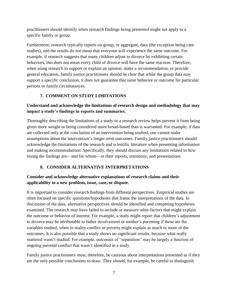practitioners should identify when research findings being presented might not apply to a specific family or group.

Furthermore, research typically reports on group, or aggregate, data (the exception being case studies), and the results do not mean that everyone will experience the same outcome. For example, if research suggests that many children adjust to divorce by exhibiting certain behaviors, this does not mean every child of divorce will have the same reaction. Therefore, when using research to support or explain an opinion, make a recommendation, or provide general education, family justice practitioners should be clear that while the group data may support a specific conclusion, it does not guarantee that same behavior or outcome for particular persons or family circumstances.

# **7. COMMENT ON STUDY LIMITATIONS**

# **Understand and acknowledge the limitations of research design and methodology that may impact a study's findings in reports and summaries.**

Thoroughly describing the limitations of a study or a research review helps prevent it from being given more weight or being considered more broad-based than is warranted. For example, if data are collected only at the conclusion of an intervention being studied, one cannot make assumptions about the intervention's longer term outcomes. Family justice practitioners should acknowledge the limitations of the research and scientific literature when presenting information and making recommendations. Specifically, they should discuss any limitations related to how strong the findings are—and for whom—in their reports, testimony, and presentations.

## **8. CONSIDER ALTERNATIVE INTERPRETATIONS**

# **Consider and acknowledge alternative explanations of research claims and their applicability to a new problem, issue, case, or dispute.**

It is important to consider research findings from different perspectives. Empirical studies are often focused on specific questions/hypotheses that frame the interpretations of the data. In discussion of the data, alternative perspectives should be identified and competing hypotheses examined. The research may have failed to include or measure other factors that might explain the outcome or behavior of interest. For example, a study might report that children's adjustment to divorce may be attributable to father involvement or mother's parenting if these are the variables studied, when in reality conflict or poverty might explain as much or more of the outcomes. It is also possible that a study shows no significant results, because what really mattered wasn't studied. For example, outcomes of "separation" may be largely a function of ongoing parental conflict that wasn't identified in a study.

Family justice practitioners must, therefore, be cautious about interpretations presented as if they are the only possible conclusions to draw. They should, for example, be careful to distinguish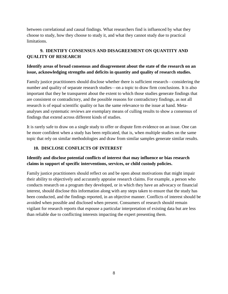between correlational and causal findings. What researchers find is influenced by what they choose to study, how they choose to study it, and what they cannot study due to practical limitations.

# **9. IDENTIFY CONSENSUS AND DISAGREEMENT ON QUANTITY AND QUALITY OF RESEARCH**

# **Identify areas of broad consensus and disagreement about the state of the research on an issue, acknowledging strengths and deficits in quantity and quality of research studies.**

Family justice practitioners should disclose whether there is sufficient research—considering the number and quality of separate research studies—on a topic to draw firm conclusions. It is also important that they be transparent about the extent to which those studies generate findings that are consistent or contradictory, and the possible reasons for contradictory findings, as not all research is of equal scientific quality or has the same relevance to the issue at hand. Metaanalyses and systematic reviews are exemplary means of culling results to show a consensus of findings that extend across different kinds of studies.

It is rarely safe to draw on a single study to offer or dispute firm evidence on an issue. One can be more confident when a study has been replicated, that is, when multiple studies on the same topic that rely on similar methodologies and draw from similar samples generate similar results.

#### **10. DISCLOSE CONFLICTS OF INTEREST**

## **Identify and disclose potential conflicts of interest that may influence or bias research claims in support of specific interventions, services, or child custody policies.**

Family justice practitioners should reflect on and be open about motivations that might impair their ability to objectively and accurately appraise research claims. For example, a person who conducts research on a program they developed, or in which they have an advocacy or financial interest, should disclose this information along with any steps taken to ensure that the study has been conducted, and the findings reported, in an objective manner. Conflicts of interest should be avoided when possible and disclosed when present. Consumers of research should remain vigilant for research reports that espouse a particular interpretation of existing data but are less than reliable due to conflicting interests impacting the expert presenting them.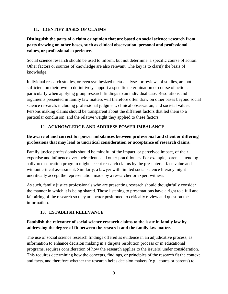#### **11. IDENTIFY BASES OF CLAIMS**

# **Distinguish the parts of a claim or opinion that are based on social science research from parts drawing on other bases, such as clinical observation, personal and professional values, or professional experience.**

Social science research should be used to inform, but not determine, a specific course of action. Other factors or sources of knowledge are also relevant. The key is to clarify the basis of knowledge.

Individual research studies, or even synthesized meta-analyses or reviews of studies, are not sufficient on their own to definitively support a specific determination or course of action, particularly when applying group research findings to an individual case. Resolutions and arguments presented in family law matters will therefore often draw on other bases beyond social science research, including professional judgment, clinical observation, and societal values. Persons making claims should be transparent about the different factors that led them to a particular conclusion, and the relative weight they applied to these factors.

## **12. ACKNOWLEDGE AND ADDRESS POWER IMBALANCE**

# **Be aware of and correct for power imbalances between professional and client or differing professions that may lead to uncritical consideration or acceptance of research claims.**

Family justice professionals should be mindful of the impact, or perceived impact, of their expertise and influence over their clients and other practitioners. For example, parents attending a divorce education program might accept research claims by the presenter at face value and without critical assessment. Similarly, a lawyer with limited social science literacy might uncritically accept the representation made by a researcher or expert witness.

As such, family justice professionals who are presenting research should thoughtfully consider the manner in which it is being shared. Those listening to presentations have a right to a full and fair airing of the research so they are better positioned to critically review and question the information.

## **13. ESTABLISH RELEVANCE**

# **Establish the relevance of social science research claims to the issue in family law by addressing the degree of fit between the research and the family law matter.**

The use of social science research findings offered as evidence in an adjudicative process, as information to enhance decision making in a dispute resolution process or in educational programs, requires consideration of how the research applies to the issue(s) under consideration. This requires determining how the concepts, findings, or principles of the research fit the context and facts, and therefore whether the research helps decision makers (e.g., courts or parents) to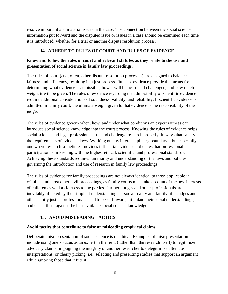resolve important and material issues in the case. The connection between the social science information put forward and the disputed issue or issues in a case should be examined each time it is introduced, whether for a trial or another dispute resolution process.

#### **14. ADHERE TO RULES OF COURT AND RULES OF EVIDENCE**

# **Know and follow the rules of court and relevant statutes as they relate to the use and presentation of social science in family law proceedings.**

The rules of court (and, often, other dispute-resolution processes) are designed to balance fairness and efficiency, resulting in a just process. Rules of evidence provide the means for determining what evidence is admissible, how it will be heard and challenged, and how much weight it will be given. The rules of evidence regarding the admissibility of scientific evidence require additional considerations of soundness, validity, and reliability. If scientific evidence is admitted in family court, the ultimate weight given to that evidence is the responsibility of the judge.

The rules of evidence govern when, how, and under what conditions an expert witness can introduce social science knowledge into the court process. Knowing the rules of evidence helps social science and legal professionals use and challenge research properly, in ways that satisfy the requirements of evidence laws. Working on any interdisciplinary boundary—but especially one where research sometimes provides influential evidence—dictates that professional participation is in keeping with the highest ethical, scientific, and professional standards. Achieving these standards requires familiarity and understanding of the laws and policies governing the introduction and use of research in family law proceedings.

The rules of evidence for family proceedings are not always identical to those applicable in criminal and most other civil proceedings, as family courts must take account of the best interests of children as well as fairness to the parties. Further, judges and other professionals are inevitably affected by their implicit understandings of social reality and family life. Judges and other family justice professionals need to be self-aware, articulate their social understandings, and check them against the best available social science knowledge.

## **15. AVOID MISLEADING TACTICS**

#### **Avoid tactics that contribute to false or misleading empirical claims.**

Deliberate misrepresentation of social science is unethical. Examples of misrepresentation include using one's status as an expert in the field (rather than the research itself) to legitimize advocacy claims; impugning the integrity of another researcher to delegitimize alternate interpretations; or cherry picking, i.e., selecting and presenting studies that support an argument while ignoring those that refute it.